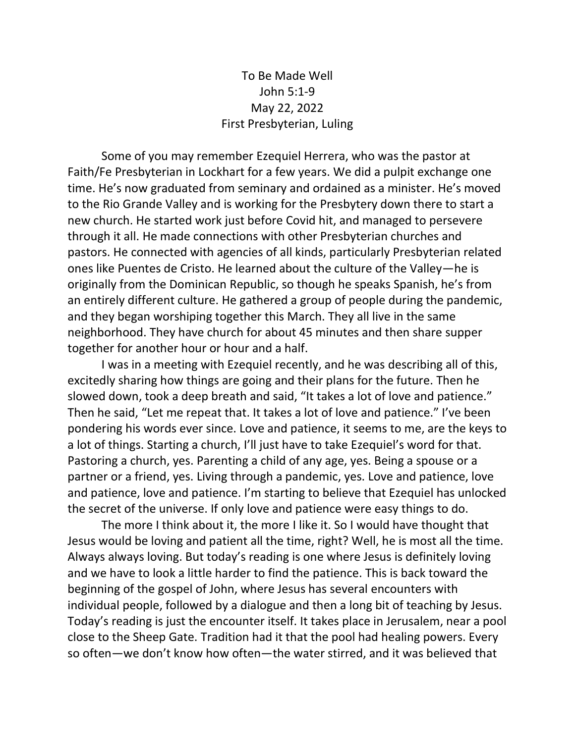To Be Made Well John 5:1-9 May 22, 2022 First Presbyterian, Luling

Some of you may remember Ezequiel Herrera, who was the pastor at Faith/Fe Presbyterian in Lockhart for a few years. We did a pulpit exchange one time. He's now graduated from seminary and ordained as a minister. He's moved to the Rio Grande Valley and is working for the Presbytery down there to start a new church. He started work just before Covid hit, and managed to persevere through it all. He made connections with other Presbyterian churches and pastors. He connected with agencies of all kinds, particularly Presbyterian related ones like Puentes de Cristo. He learned about the culture of the Valley—he is originally from the Dominican Republic, so though he speaks Spanish, he's from an entirely different culture. He gathered a group of people during the pandemic, and they began worshiping together this March. They all live in the same neighborhood. They have church for about 45 minutes and then share supper together for another hour or hour and a half.

I was in a meeting with Ezequiel recently, and he was describing all of this, excitedly sharing how things are going and their plans for the future. Then he slowed down, took a deep breath and said, "It takes a lot of love and patience." Then he said, "Let me repeat that. It takes a lot of love and patience." I've been pondering his words ever since. Love and patience, it seems to me, are the keys to a lot of things. Starting a church, I'll just have to take Ezequiel's word for that. Pastoring a church, yes. Parenting a child of any age, yes. Being a spouse or a partner or a friend, yes. Living through a pandemic, yes. Love and patience, love and patience, love and patience. I'm starting to believe that Ezequiel has unlocked the secret of the universe. If only love and patience were easy things to do.

The more I think about it, the more I like it. So I would have thought that Jesus would be loving and patient all the time, right? Well, he is most all the time. Always always loving. But today's reading is one where Jesus is definitely loving and we have to look a little harder to find the patience. This is back toward the beginning of the gospel of John, where Jesus has several encounters with individual people, followed by a dialogue and then a long bit of teaching by Jesus. Today's reading is just the encounter itself. It takes place in Jerusalem, near a pool close to the Sheep Gate. Tradition had it that the pool had healing powers. Every so often—we don't know how often—the water stirred, and it was believed that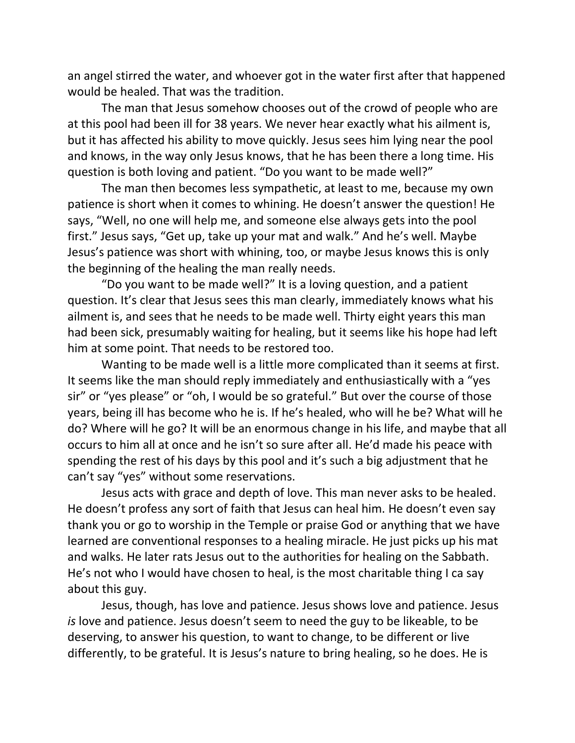an angel stirred the water, and whoever got in the water first after that happened would be healed. That was the tradition.

The man that Jesus somehow chooses out of the crowd of people who are at this pool had been ill for 38 years. We never hear exactly what his ailment is, but it has affected his ability to move quickly. Jesus sees him lying near the pool and knows, in the way only Jesus knows, that he has been there a long time. His question is both loving and patient. "Do you want to be made well?"

The man then becomes less sympathetic, at least to me, because my own patience is short when it comes to whining. He doesn't answer the question! He says, "Well, no one will help me, and someone else always gets into the pool first." Jesus says, "Get up, take up your mat and walk." And he's well. Maybe Jesus's patience was short with whining, too, or maybe Jesus knows this is only the beginning of the healing the man really needs.

"Do you want to be made well?" It is a loving question, and a patient question. It's clear that Jesus sees this man clearly, immediately knows what his ailment is, and sees that he needs to be made well. Thirty eight years this man had been sick, presumably waiting for healing, but it seems like his hope had left him at some point. That needs to be restored too.

Wanting to be made well is a little more complicated than it seems at first. It seems like the man should reply immediately and enthusiastically with a "yes sir" or "yes please" or "oh, I would be so grateful." But over the course of those years, being ill has become who he is. If he's healed, who will he be? What will he do? Where will he go? It will be an enormous change in his life, and maybe that all occurs to him all at once and he isn't so sure after all. He'd made his peace with spending the rest of his days by this pool and it's such a big adjustment that he can't say "yes" without some reservations.

Jesus acts with grace and depth of love. This man never asks to be healed. He doesn't profess any sort of faith that Jesus can heal him. He doesn't even say thank you or go to worship in the Temple or praise God or anything that we have learned are conventional responses to a healing miracle. He just picks up his mat and walks. He later rats Jesus out to the authorities for healing on the Sabbath. He's not who I would have chosen to heal, is the most charitable thing I ca say about this guy.

Jesus, though, has love and patience. Jesus shows love and patience. Jesus *is* love and patience. Jesus doesn't seem to need the guy to be likeable, to be deserving, to answer his question, to want to change, to be different or live differently, to be grateful. It is Jesus's nature to bring healing, so he does. He is